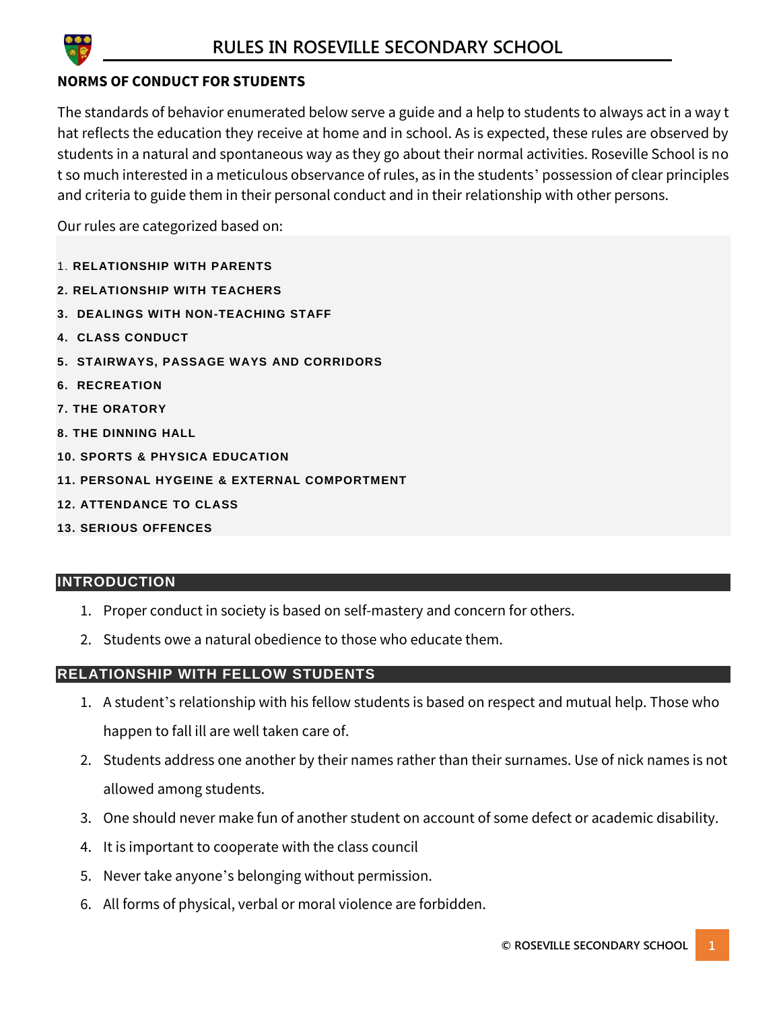

# **NORMS OF CONDUCT FOR STUDENTS**

The standards of behavior enumerated below serve a guide and a help to students to always act in a way t hat reflects the education they receive at home and in school. As is expected, these rules are observed by students in a natural and spontaneous way as they go about their normal activities. Roseville School is no t so much interested in a meticulous observance of rules, as in the students' possession of clear principles and criteria to guide them in their personal conduct and in their relationship with other persons.

Our rules are categorized based on:

- 1. **RELATIONSHIP WITH PARENTS**
- **2. RELATIONSHIP WITH TEACHERS**
- **3. DEALINGS WITH NON-TEACHING STAFF**
- **4. CLASS CONDUCT**
- **5. STAIRWAYS, PASSAGE WAYS AND CORRIDORS**
- **6. RECREATION**
- **7. THE ORATORY**
- **8. THE DINNING HALL**
- **10. SPORTS & PHYSICA EDUCATION**
- **11. PERSONAL HYGEINE & EXTERNAL COMPORTMENT**
- **12. ATTENDANCE TO CLASS**
- **13. SERIOUS OFFENCES**

# **INTRODUCTION**

- 1. Proper conduct in society is based on self-mastery and concern for others.
- 2. Students owe a natural obedience to those who educate them.

#### **RELATIONSHIP WITH FELLOW STUDENTS**

- 1. A student's relationship with his fellow students is based on respect and mutual help. Those who happen to fall ill are well taken care of.
- 2. Students address one another by their names rather than their surnames. Use of nick names is not allowed among students.
- 3. One should never make fun of another student on account of some defect or academic disability.
- 4. It is important to cooperate with the class council
- 5. Never take anyone's belonging without permission.
- 6. All forms of physical, verbal or moral violence are forbidden.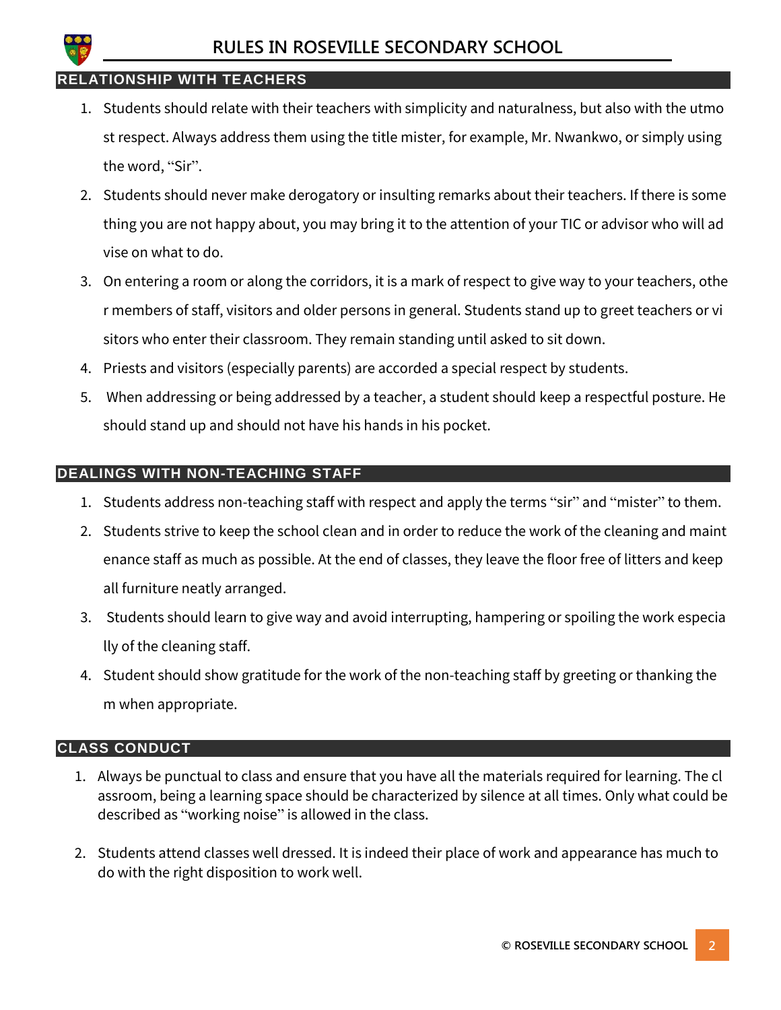

#### **RELATIONSHIP WITH TEACHERS**

- 1. Students should relate with their teachers with simplicity and naturalness, but also with the utmo st respect. Always address them using the title mister, for example, Mr. Nwankwo, or simply using the word, "Sir".
- 2. Students should never make derogatory or insulting remarks about their teachers. If there is some thing you are not happy about, you may bring it to the attention of your TIC or advisor who will ad vise on what to do.
- 3. On entering a room or along the corridors, it is a mark of respect to give way to your teachers, othe r members of staff, visitors and older persons in general. Students stand up to greet teachers or vi sitors who enter their classroom. They remain standing until asked to sit down.
- 4. Priests and visitors (especially parents) are accorded a special respect by students.
- 5. When addressing or being addressed by a teacher, a student should keep a respectful posture. He should stand up and should not have his hands in his pocket.

# **DEALINGS WITH NON-TEACHING STAFF**

- 1. Students address non-teaching staff with respect and apply the terms "sir" and "mister" to them.
- 2. Students strive to keep the school clean and in order to reduce the work of the cleaning and maint enance staff as much as possible. At the end of classes, they leave the floor free of litters and keep all furniture neatly arranged.
- 3. Students should learn to give way and avoid interrupting, hampering or spoiling the work especia lly of the cleaning staff.
- 4. Student should show gratitude for the work of the non-teaching staff by greeting or thanking the m when appropriate.

#### **CLASS CONDUCT**

- 1. Always be punctual to class and ensure that you have all the materials required for learning. The cl assroom, being a learning space should be characterized by silence at all times. Only what could be described as "working noise" is allowed in the class.
- 2. Students attend classes well dressed. It is indeed their place of work and appearance has much to do with the right disposition to work well.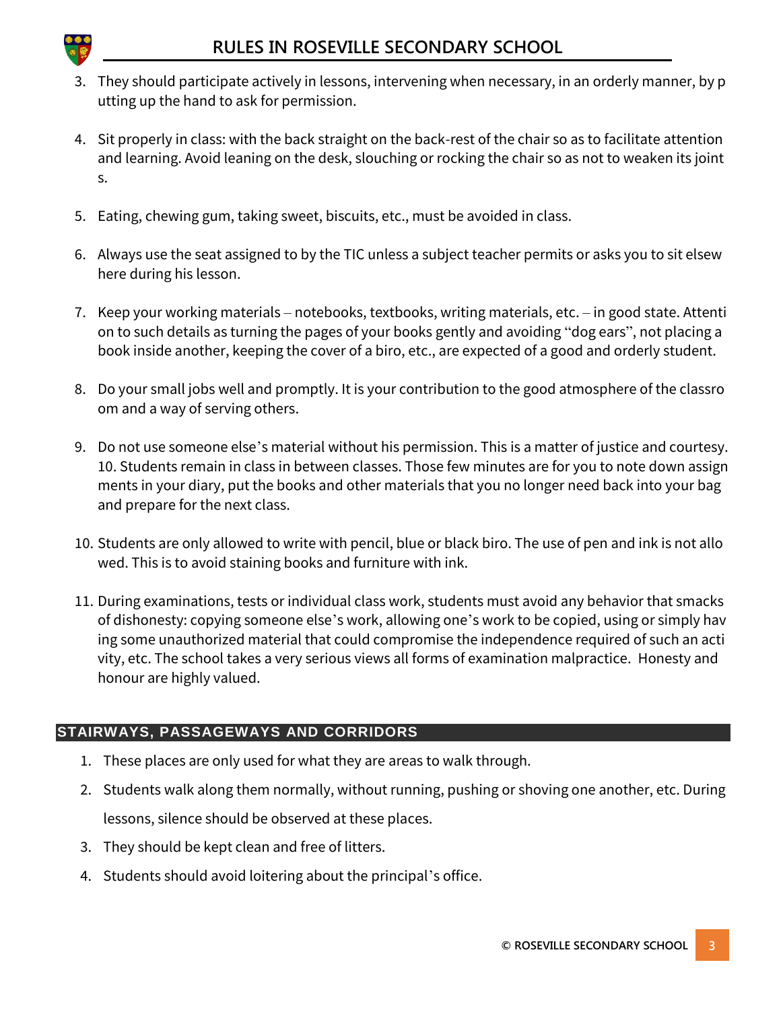

- 3. They should participate actively in lessons, intervening when necessary, in an orderly manner, by p utting up the hand to ask for permission.
- 4. Sit properly in class: with the back straight on the back-rest of the chair so as to facilitate attention and learning. Avoid leaning on the desk, slouching or rocking the chair so as not to weaken its joint s.
- 5. Eating, chewing gum, taking sweet, biscuits, etc., must be avoided in class.
- 6. Always use the seat assigned to by the TIC unless a subject teacher permits or asks you to sit elsew here during his lesson.
- 7. Keep your working materials notebooks, textbooks, writing materials, etc. in good state. Attenti on to such details as turning the pages of your books gently and avoiding "dog ears", not placing a book inside another, keeping the cover of a biro, etc., are expected of a good and orderly student.
- 8. Do your small jobs well and promptly. It is your contribution to the good atmosphere of the classro om and a way of serving others.
- 9. Do not use someone else's material without his permission. This is a matter of justice and courtesy. 10. Students remain in class in between classes. Those few minutes are for you to note down assign ments in your diary, put the books and other materials that you no longer need back into your bag and prepare for the next class.
- 10. Students are only allowed to write with pencil, blue or black biro. The use of pen and ink is not allo wed. This is to avoid staining books and furniture with ink.
- 11. During examinations, tests or individual class work, students must avoid any behavior that smacks of dishonesty: copying someone else's work, allowing one's work to be copied, using or simply hav ing some unauthorized material that could compromise the independence required of such an acti vity, etc. The school takes a very serious views all forms of examination malpractice. Honesty and honour are highly valued.

# **STAIRWAYS, PASSAGEWAYS AND CORRIDORS**

- 1. These places are only used for what they are areas to walk through.
- 2. Students walk along them normally, without running, pushing or shoving one another, etc. During lessons, silence should be observed at these places.
- 3. They should be kept clean and free of litters.
- 4. Students should avoid loitering about the principal's office.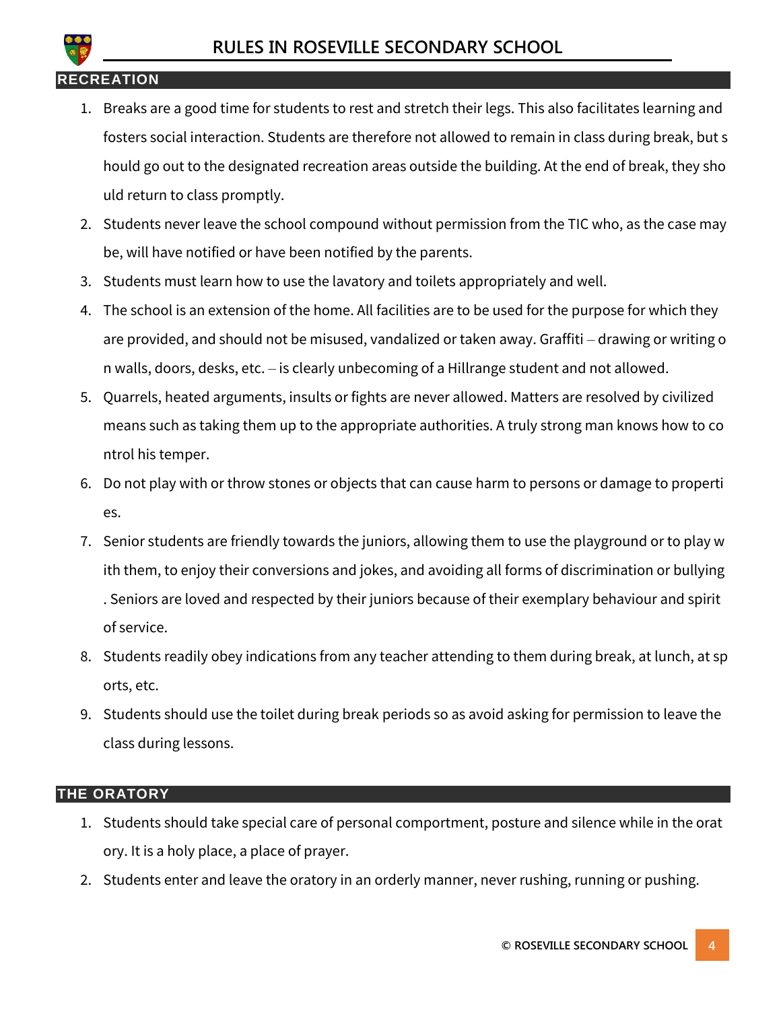

#### **RECREATION**

- 1. Breaks are a good time for students to rest and stretch their legs. This also facilitates learning and fosters social interaction. Students are therefore not allowed to remain in class during break, but s hould go out to the designated recreation areas outside the building. At the end of break, they sho uld return to class promptly.
- 2. Students never leave the school compound without permission from the TIC who, as the case may be, will have notified or have been notified by the parents.
- 3. Students must learn how to use the lavatory and toilets appropriately and well.
- 4. The school is an extension of the home. All facilities are to be used for the purpose for which they are provided, and should not be misused, vandalized or taken away. Graffiti – drawing or writing o n walls, doors, desks, etc. – is clearly unbecoming of a Hillrange student and not allowed.
- 5. Quarrels, heated arguments, insults or fights are never allowed. Matters are resolved by civilized means such as taking them up to the appropriate authorities. A truly strong man knows how to co ntrol his temper.
- 6. Do not play with or throw stones or objects that can cause harm to persons or damage to properti es.
- 7. Senior students are friendly towards the juniors, allowing them to use the playground or to play w ith them, to enjoy their conversions and jokes, and avoiding all forms of discrimination or bullying . Seniors are loved and respected by their juniors because of their exemplary behaviour and spirit of service.
- 8. Students readily obey indications from any teacher attending to them during break, at lunch, at sp orts, etc.
- 9. Students should use the toilet during break periods so as avoid asking for permission to leave the class during lessons.

#### **THE ORATORY**

- 1. Students should take special care of personal comportment, posture and silence while in the orat ory. It is a holy place, a place of prayer.
- 2. Students enter and leave the oratory in an orderly manner, never rushing, running or pushing.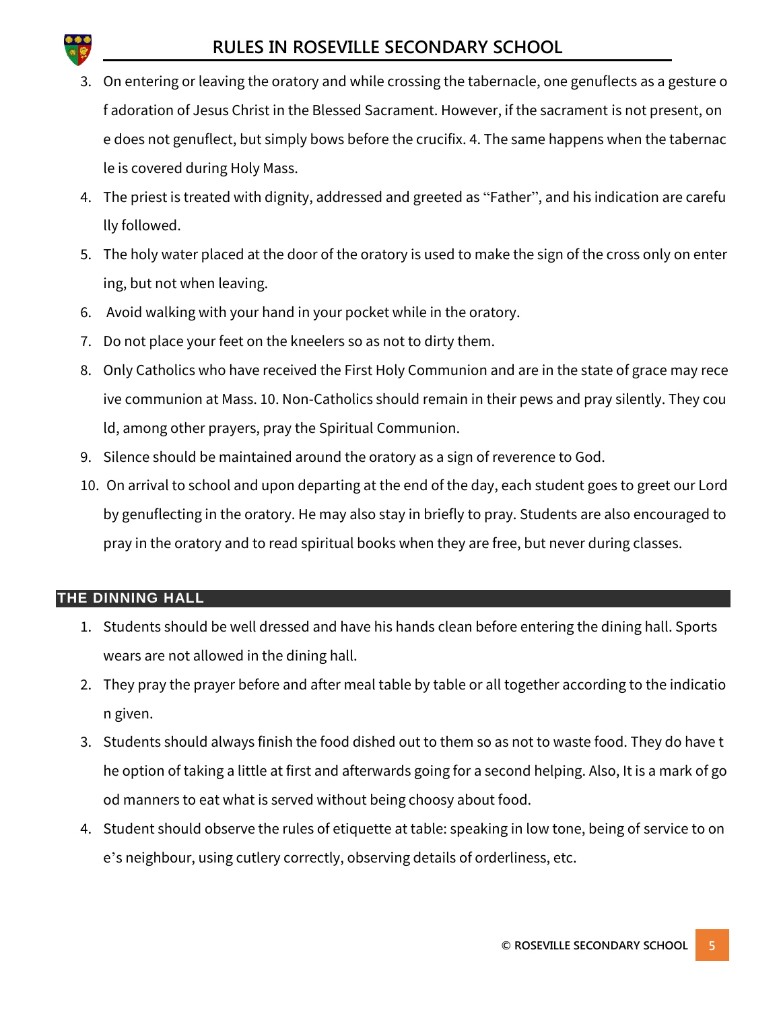# **RULES IN ROSEVILLE SECONDARY SCHOOL**

- 3. On entering or leaving the oratory and while crossing the tabernacle, one genuflects as a gesture o f adoration of Jesus Christ in the Blessed Sacrament. However, if the sacrament is not present, on e does not genuflect, but simply bows before the crucifix. 4. The same happens when the tabernac le is covered during Holy Mass.
- 4. The priest is treated with dignity, addressed and greeted as "Father", and his indication are carefu lly followed.
- 5. The holy water placed at the door of the oratory is used to make the sign of the cross only on enter ing, but not when leaving.
- 6. Avoid walking with your hand in your pocket while in the oratory.
- 7. Do not place your feet on the kneelers so as not to dirty them.
- 8. Only Catholics who have received the First Holy Communion and are in the state of grace may rece ive communion at Mass. 10. Non-Catholics should remain in their pews and pray silently. They cou ld, among other prayers, pray the Spiritual Communion.
- 9. Silence should be maintained around the oratory as a sign of reverence to God.
- 10. On arrival to school and upon departing at the end of the day, each student goes to greet our Lord by genuflecting in the oratory. He may also stay in briefly to pray. Students are also encouraged to pray in the oratory and to read spiritual books when they are free, but never during classes.

#### **THE DINNING HALL**

- 1. Students should be well dressed and have his hands clean before entering the dining hall. Sports wears are not allowed in the dining hall.
- 2. They pray the prayer before and after meal table by table or all together according to the indicatio n given.
- 3. Students should always finish the food dished out to them so as not to waste food. They do have t he option of taking a little at first and afterwards going for a second helping. Also, It is a mark of go od manners to eat what is served without being choosy about food.
- 4. Student should observe the rules of etiquette at table: speaking in low tone, being of service to on e's neighbour, using cutlery correctly, observing details of orderliness, etc.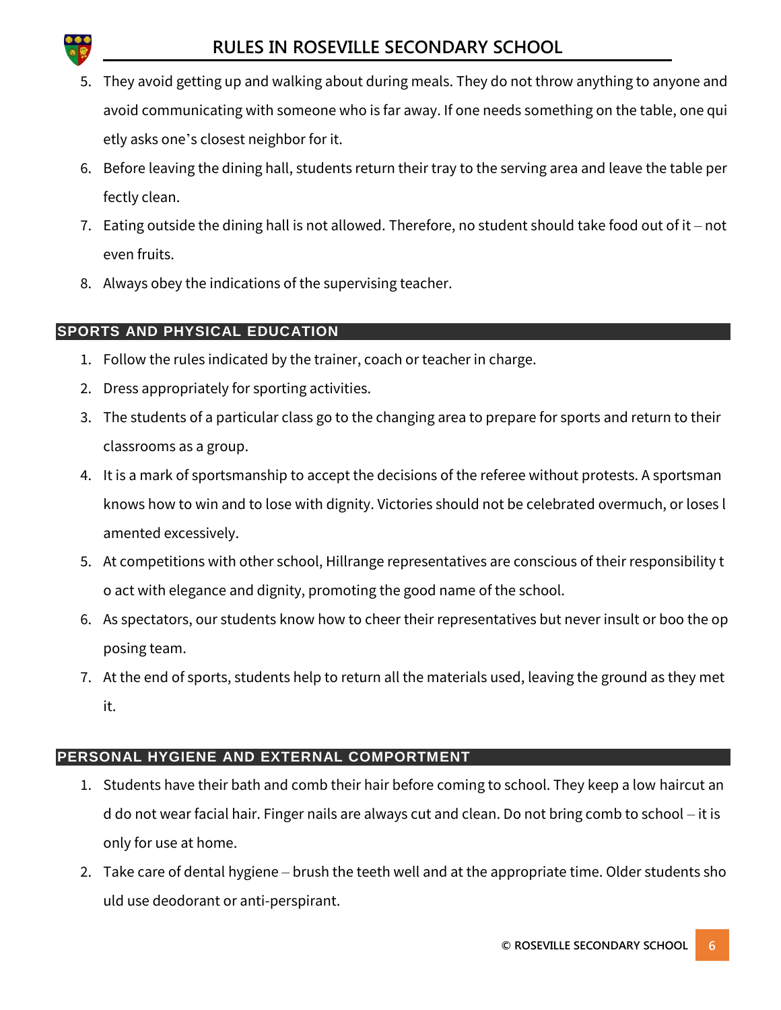- 5. They avoid getting up and walking about during meals. They do not throw anything to anyone and avoid communicating with someone who is far away. If one needs something on the table, one qui etly asks one's closest neighbor for it.
- 6. Before leaving the dining hall, students return their tray to the serving area and leave the table per fectly clean.
- 7. Eating outside the dining hall is not allowed. Therefore, no student should take food out of it not even fruits.
- 8. Always obey the indications of the supervising teacher.

# **SPORTS AND PHYSICAL EDUCATION**

- 1. Follow the rules indicated by the trainer, coach or teacher in charge.
- 2. Dress appropriately for sporting activities.
- 3. The students of a particular class go to the changing area to prepare for sports and return to their classrooms as a group.
- 4. It is a mark of sportsmanship to accept the decisions of the referee without protests. A sportsman knows how to win and to lose with dignity. Victories should not be celebrated overmuch, or loses l amented excessively.
- 5. At competitions with other school, Hillrange representatives are conscious of their responsibility t o act with elegance and dignity, promoting the good name of the school.
- 6. As spectators, our students know how to cheer their representatives but never insult or boo the op posing team.
- 7. At the end of sports, students help to return all the materials used, leaving the ground as they met it.

# **PERSONAL HYGIENE AND EXTERNAL COMPORTMENT**

- 1. Students have their bath and comb their hair before coming to school. They keep a low haircut an d do not wear facial hair. Finger nails are always cut and clean. Do not bring comb to school – it is only for use at home.
- 2. Take care of dental hygiene brush the teeth well and at the appropriate time. Older students sho uld use deodorant or anti-perspirant.